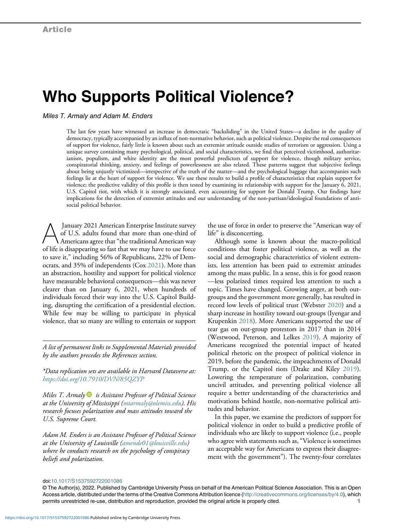# Who Supports Political Violence?

Miles T. Armaly and Adam M. Enders

The last few years have witnessed an increase in democratic "backsliding" in the United States—a decline in the quality of democracy, typically accompanied by an influx of non-normative behavior, such as political violence. Despite the real consequences of support for violence, fairly little is known about such an extremist attitude outside studies of terrorism or aggression. Using a unique survey containing many psychological, political, and social characteristics, we find that perceived victimhood, authoritarianism, populism, and white identity are the most powerful predictors of support for violence, though military service, conspiratorial thinking, anxiety, and feelings of powerlessness are also related. These patterns suggest that subjective feelings about being unjustly victimized—irrespective of the truth of the matter—and the psychological baggage that accompanies such feelings lie at the heart of support for violence. We use these results to build a profile of characteristics that explain support for violence; the predictive validity of this profile is then tested by examining its relationship with support for the January 6, 2021, U.S. Capitol riot, with which it is strongly associated, even accounting for support for Donald Trump. Our findings have implications for the detection of extremist attitudes and our understanding of the non-partisan/ideological foundations of antisocial political behavior.

January 2021 American Enterprise Institute survey<br>of U.S. adults found that more than one-third of<br>Americans agree that "the traditional American way<br>of life is disappearing so fast that we may have to use force of U.S. adults found that more than one-third of of life is disappearing so fast that we may have to use force to save it," including 56% of Republicans, 22% of Democrats, and 35% of independents (Cox [2021\)](#page-16-0). More than an abstraction, hostility and support for political violence have measurable behavioral consequences—this was never clearer than on January 6, 2021, when hundreds of individuals forced their way into the U.S. Capitol Building, disrupting the certification of a presidential election. While few may be willing to participate in physical violence, that so many are willing to entertain or support

A list of permanent links to Supplemental Materials provided by the authors precedes the References section.

\*Data replication sets are available in Harvard Dataverse at: <https://doi.org/10.7910/DVN/85QZYP>

Miles T. Armaly  $\bullet$  is Assistant Professor of Political Science at the University of Mississippi [\(mtarmaly@olemiss.edu](mailto:mtarmaly@olemiss.edu)). His research focuses polarization and mass attitudes toward the U.S. Supreme Court.

Adam M. Enders is an Assistant Professor of Political Science at the University of Louisville ([amende01@louisville.edu\)](mailto:amende01@louisville.edu) where he conducts research on the psychology of conspiracy beliefs and polarization.

the use of force in order to preserve the "American way of life" is disconcerting.

Although some is known about the macro-political conditions that foster political violence, as well as the social and demographic characteristics of violent extremists, less attention has been paid to extremist attitudes among the mass public. In a sense, this is for good reason —less polarized times required less attention to such a topic. Times have changed. Growing anger, at both outgroups and the government more generally, has resulted in record low levels of political trust (Webster [2020](#page-17-0)) and a sharp increase in hostility toward out-groups (Iyengar and Krupenkin [2018](#page-16-1)). More Americans supported the use of tear gas on out-group protestors in 2017 than in 2014 (Westwood, Peterson, and Lelkes [2019\)](#page-17-1). A majority of Americans recognized the potential impact of heated political rhetoric on the prospect of political violence in 2019, before the pandemic, the impeachments of Donald Trump, or the Capitol riots (Drake and Kiley [2019](#page-16-2)). Lowering the temperature of polarization, combating uncivil attitudes, and preventing political violence all require a better understanding of the characteristics and motivations behind hostile, non-normative political attitudes and behavior.

In this paper, we examine the predictors of support for political violence in order to build a predictive profile of individuals who are likely to support violence (i.e., people who agree with statements such as,"Violence is sometimes an acceptable way for Americans to express their disagreement with the government"). The twenty-four correlates

#### doi[:10.1017/S1537592722001086](https://doi.org/10.1017/S1537592722001086)

<sup>©</sup> The Author(s), 2022. Published by Cambridge University Press on behalf of the American Political Science Association. This is an Open Access article, distributed under the terms of the Creative Commons Attribution licence (<http://creativecommons.org/licenses/by/4.0>), which permits unrestricted re-use, distribution and reproduction, provided the original article is properly cited. 11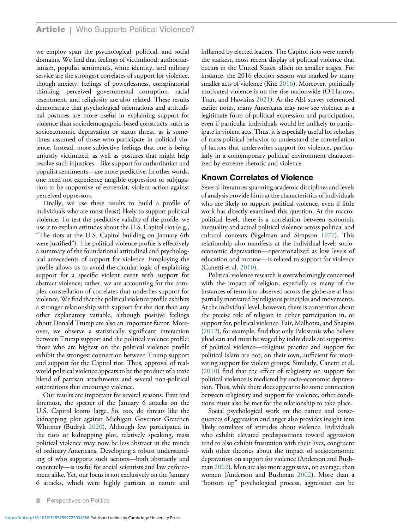we employ span the psychological, political, and social domains. We find that feelings of victimhood, authoritarianism, populist sentiments, white identity, and military service are the strongest correlates of support for violence, though anxiety, feelings of powerlessness, conspiratorial thinking, perceived governmental corruption, racial resentment, and religiosity are also related. These results demonstrate that psychological orientations and attitudinal postures are more useful in explaining support for violence than sociodemographic-based constructs, such as socioeconomic depravation or status threat, as is sometimes assumed of those who participate in political violence. Instead, more subjective feelings that one is being unjustly victimized, as well as postures that might help resolve such injustices—like support for authoritarian and populist sentiments—are more predictive. In other words, one need not experience tangible oppression or subjugation to be supportive of extremist, violent action against perceived oppressors.

Finally, we use these results to build a profile of individuals who are most (least) likely to support political violence. To test the predictive validity of the profile, we use it to explain attitudes about the U.S. Capitol riot (e.g., "The riots at the U.S. Capitol building on January 6th were justified"). The political violence profile is effectively a summary of the foundational attitudinal and psychological antecedents of support for violence. Employing the profile allows us to avoid the circular logic of explaining support for a specific violent event with support for abstract violence; rather, we are accounting for the complex constellation of correlates that underlies support for violence. We find that the political violence profile exhibits a stronger relationship with support for the riot than any other explanatory variable, although positive feelings about Donald Trump are also an important factor. Moreover, we observe a statistically significant interaction between Trump support and the political violence profile: those who are highest on the political violence profile exhibit the strongest connection between Trump support and support for the Capitol riot. Thus, approval of realworld political violence appears to be the product of a toxic blend of partisan attachments and several non-political orientations that encourage violence.

Our results are important for several reasons. First and foremost, the specter of the January 6 attacks on the U.S. Capitol looms large. So, too, do threats like the kidnapping plot against Michigan Governor Gretchen Whitmer (Budryk [2020](#page-15-0)). Although few participated in the riots or kidnapping plot, relatively speaking, mass political violence may now be less abstract in the minds of ordinary Americans. Developing a robust understanding of who supports such actions—both abstractly and concretely—is useful for social scientists and law enforcement alike. Yet, our focus is not exclusively on the January 6 attacks, which were highly partisan in nature and

inflamed by elected leaders. The Capitol riots were merely the starkest, most recent display of political violence that occurs in the United States, albeit on smaller stages. For instance, the 2016 election season was marked by many smaller acts of violence (Kite [2016\)](#page-16-3). Moreover, politically motivated violence is on the rise nationwide (O'Harrow, Tran, and Hawkins [2021](#page-17-2)). As the AEI survey referenced earlier notes, many Americans may now see violence as a legitimate form of political expression and participation, even if particular individuals would be unlikely to participate in violent acts. Thus, it is especially useful for scholars of mass political behavior to understand the constellation of factors that underwrites support for violence, particularly in a contemporary political environment characterized by extreme rhetoric and violence.

#### Known Correlates of Violence

Several literatures spanning academic disciplines and levels of analysis provide hints at the characteristics of individuals who are likely to support political violence, even if little work has directly examined this question. At the macropolitical level, there is a correlation between economic inequality and actual political violence across political and cultural contexts (Sigelman and Simpson [1977\)](#page-17-3). This relationship also manifests at the individual level: socioeconomic depravation—operationalized as low levels of education and income—is related to support for violence (Canetti et al. [2010](#page-15-1)).

Political violence research is overwhelmingly concerned with the impact of religion, especially as many of the instances of terrorism observed across the globe are at least partially motivated by religious principles and movements. At the individual level, however, there is contention about the precise role of religion in either participation in, or support for, political violence. Fair, Malhotra, and Shapiro [\(2012](#page-16-4)), for example, find that only Pakistanis who believe jihad can and must be waged by individuals are supportive of political violence—religious practice and support for political Islam are not, on their own, sufficient for motivating support for violent groups. Similarly, Canetti et al. [\(2010](#page-15-1)) find that the effect of religiosity on support for political violence is mediated by socio-economic depravation. Thus, while there does appear to be some connection between religiosity and support for violence, other conditions must also be met for the relationship to take place.

Social psychological work on the nature and consequences of aggression and anger also provides insight into likely correlates of attitudes about violence. Individuals who exhibit elevated predispositions toward aggression tend to also exhibit frustration with their lives, congruent with other theories about the impact of socioeconomic depravation on support for violence (Anderson and Bushman [2002\)](#page-15-2). Men are also more aggressive, on average, than women (Anderson and Bushman [2002\)](#page-15-2). More than a "bottom up" psychological process, aggression can be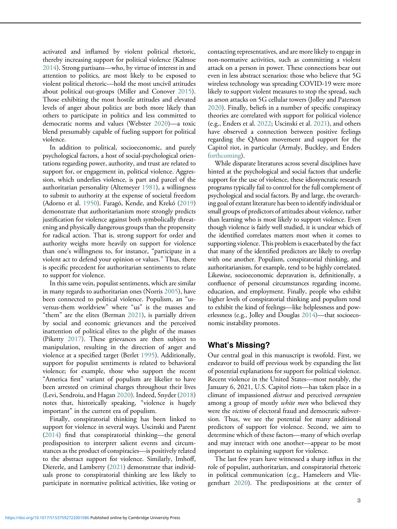activated and inflamed by violent political rhetoric, thereby increasing support for political violence (Kalmoe [2014\)](#page-16-5). Strong partisans—who, by virtue of interest in and attention to politics, are most likely to be exposed to violent political rhetoric—hold the most uncivil attitudes about political out-groups (Miller and Conover [2015](#page-16-6)). Those exhibiting the most hostile attitudes and elevated levels of anger about politics are both more likely than others to participate in politics and less committed to democratic norms and values (Webster [2020](#page-17-0))—a toxic blend presumably capable of fueling support for political violence.

In addition to political, socioeconomic, and purely psychological factors, a host of social-psychological orientations regarding power, authority, and trust are related to support for, or engagement in, political violence. Aggression, which underlies violence, is part and parcel of the authoritarian personality (Altemeyer [1981](#page-15-3)), a willingness to submit to authority at the expense of societal freedom (Adorno et al. [1950](#page-15-4)). Faragó, Kende, and Krekó ([2019\)](#page-16-7) demonstrate that authoritarianism more strongly predicts justification for violence against both symbolically threatening and physically dangerous groups than the propensity for radical action. That is, strong support for order and authority weighs more heavily on support for violence than one's willingness to, for instance, "participate in a violent act to defend your opinion or values." Thus, there is specific precedent for authoritarian sentiments to relate to support for violence.

In this same vein, populist sentiments, which are similar in many regards to authoritarian ones (Norris [2005\)](#page-16-8), have been connected to political violence. Populism, an "usversus-them worldview" where "us" is the masses and "them" are the elites (Berman [2021](#page-15-5)), is partially driven by social and economic grievances and the perceived inattention of political elites to the plight of the masses (Piketty [2017](#page-17-4)). These grievances are then subject to manipulation, resulting in the direction of anger and violence at a specified target (Berlet [1995\)](#page-15-6). Additionally, support for populist sentiments is related to behavioral violence; for example, those who support the recent "America first" variant of populism are likelier to have been arrested on criminal charges throughout their lives (Levi, Sendroiu, and Hagan [2020\)](#page-16-9). Indeed, Snyder ([2018\)](#page-17-5) notes that, historically speaking, "violence is hugely important" in the current era of populism.

Finally, conspiratorial thinking has been linked to support for violence in several ways. Uscinski and Parent [\(2014\)](#page-17-4) find that conspiratorial thinking—the general predisposition to interpret salient events and circumstances as the product of conspiracies—is positively related to the abstract support for violence. Similarly, Imhoff, Dieterle, and Lamberty ([2021\)](#page-16-10) demonstrate that individuals prone to conspiratorial thinking are less likely to participate in normative political activities, like voting or contacting representatives, and are more likely to engage in non-normative activities, such as committing a violent attack on a person in power. These connections bear out even in less abstract scenarios: those who believe that 5G wireless technology was spreading COVID-19 were more likely to support violent measures to stop the spread, such as arson attacks on 5G cellular towers (Jolley and Paterson [2020\)](#page-16-11). Finally, beliefs in a number of specific conspiracy theories are correlated with support for political violence (e.g., Enders et al. [2022;](#page-16-12) Uscinski et al. [2021\)](#page-17-6), and others have observed a connection between positive feelings regarding the QAnon movement and support for the Capitol riot, in particular (Armaly, Buckley, and Enders [forthcoming\)](#page-15-7).

While disparate literatures across several disciplines have hinted at the psychological and social factors that underlie support for the use of violence, these idiosyncratic research programs typically fail to control for the full complement of psychological and social factors. By and large, the overarching goal of extant literature has been to identify individual or small groups of predictors of attitudes about violence, rather than learning who is most likely to support violence. Even though violence is fairly well studied, it is unclear which of the identified correlates matters most when it comes to supporting violence. This problem is exacerbated by the fact that many of the identified predictors are likely to overlap with one another. Populism, conspiratorial thinking, and authoritarianism, for example, tend to be highly correlated. Likewise, socioeconomic depravation is, definitionally, a confluence of personal circumstances regarding income, education, and employment. Finally, people who exhibit higher levels of conspiratorial thinking and populism tend to exhibit the kind of feelings—like helplessness and powerlessness (e.g., Jolley and Douglas [2014\)](#page-16-13)—that socioeconomic instability promotes.

# What's Missing?

Our central goal in this manuscript is twofold. First, we endeavor to build off previous work by expanding the list of potential explanations for support for political violence. Recent violence in the United States—most notably, the January 6, 2021, U.S. Capitol riots—has taken place in a climate of impassioned *distrust* and perceived *corruption* among a group of mostly *white men* who believed they were the victims of electoral fraud and democratic subversion. Thus, we see the potential for many additional predictors of support for violence. Second, we aim to determine which of these factors—many of which overlap and may interact with one another—appear to be most important to explaining support for violence.

The last few years have witnessed a sharp influx in the role of populist, authoritarian, and conspiratorial rhetoric in political communication (e.g., Hameleers and Vliegenthart [2020\)](#page-16-14). The predispositions at the center of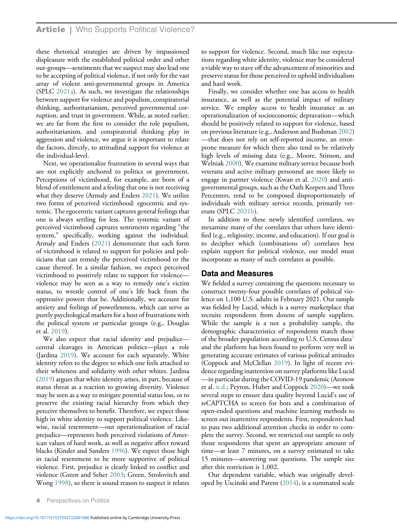these rhetorical strategies are driven by impassioned displeasure with the established political order and other out-groups—sentiments that we suspect may also lead one to be accepting of political violence, if not only for the vast array of violent anti-governmental groups in America (SPLC [2021a\)](#page-17-7). As such, we investigate the relationships between support for violence and populism, conspiratorial thinking, authoritarianism, perceived governmental corruption, and trust in government. While, as noted earlier, we are far from the first to consider the role populism, authoritarianism, and conspiratorial thinking play in aggression and violence, we argue it is important to relate the factors, directly, to attitudinal support for violence at the individual-level.

Next, we operationalize frustration in several ways that are not explicitly anchored to politics or government. Perceptions of victimhood, for example, are born of a blend of entitlement and a feeling that one is not receiving what they deserve (Armaly and Enders [2021](#page-15-8)). We utilize two forms of perceived victimhood: egocentric and systemic. The egocentric variant captures general feelings that one is always settling for less. The systemic variant of perceived victimhood captures sentiments regarding "the system," specifically, working against the individual. Armaly and Enders ([2021\)](#page-15-8) demonstrate that each form of victimhood is related to support for policies and politicians that can remedy the perceived victimhood or the cause thereof. In a similar fashion, we expect perceived victimhood to positively relate to support for violence violence may be seen as a way to remedy one's victim status, to wrestle control of one's life back from the oppressive powers that be. Additionally, we account for anxiety and feelings of powerlessness, which can serve as purely psychological markers for a host of frustrations with the political system or particular groups (e.g., Douglas et al. [2019](#page-16-15)).

We also expect that racial identity and prejudice central cleavages in American politics—plays a role (Jardina [2019\)](#page-16-16). We account for each separately. White identity refers to the degree to which one feels attached to their whiteness and solidarity with other whites. Jardina [\(2019](#page-16-16)) argues that white identity arises, in part, because of status threat as a reaction to growing diversity. Violence may be seen as a way to mitigate potential status loss, or to preserve the existing racial hierarchy from which they perceive themselves to benefit. Therefore, we expect those high in white identity to support political violence. Likewise, racial resentment—our operationalization of racial prejudice—represents both perceived violations of American values of hard work, as well as negative affect toward blacks (Kinder and Sanders [1996](#page-16-17)). We expect those high in racial resentment to be more supportive of political violence. First, prejudice is clearly linked to conflict and violence (Green and Seher [2003;](#page-16-18) Green, Strolovitch and Wong [1998\)](#page-16-19), so there is sound reason to suspect it relates

to support for violence. Second, much like our expectations regarding white identity, violence may be considered a viable way to stave off the advancement of minorities and preserve status for those perceived to uphold individualism and hard work.

Finally, we consider whether one has access to health insurance, as well as the potential impact of military service. We employ access to health insurance as an operationalization of socioeconomic depravation—which should be positively related to support for violence, based on previous literature (e.g., Anderson and Bushman [2002\)](#page-15-2) —that does not rely on self-reported income, an errorprone measure for which there also tend to be relatively high levels of missing data (e.g., Moore, Stinson, and Welniak [2000\)](#page-16-20). We examine military service because both veterans and active military personnel are more likely to engage in partner violence (Kwan et al. [2020](#page-16-7)) and antigovernmental groups, such as the Oath Keepers and Three Percenters, tend to be composed disproportionately of individuals with military service records, primarily veterans (SPLC [2021b](#page-17-8)).

In addition to these newly identified correlates, we reexamine many of the correlates that others have identified (e.g., religiosity, income, and education). If our goal is to decipher which (combinations of) correlates best explain support for political violence, our model must incorporate as many of such correlates as possible.

#### Data and Measures

We fielded a survey containing the questions necessary to construct twenty-four possible correlates of political violence on 1,100 U.S. adults in February 2021. Our sample was fielded by Lucid, which is a survey marketplace that recruits respondents from dozens of sample suppliers. While the sample is a not a probability sample, the demographic characteristics of respondents match those of the broader population according to U.S. Census data $^1$  $^1$ and the platform has been found to perform very well in generating accurate estimates of various political attitudes (Coppock and McClellan [2019\)](#page-15-9). In light of recent evidence regarding inattention on survey platforms like Lucid —in particular during the COVID-19 pandemic (Aronow et al. [n.d.;](#page-15-10) Peyton, Huber and Coppock [2020\)](#page-17-9)—we took several steps to ensure data quality beyond Lucid's use of reCAPTCHA to screen for bots and a combination of open-ended questions and machine learning methods to screen out inattentive respondents. First, respondents had to pass two additional attention checks in order to complete the survey. Second, we restricted our sample to only those respondents that spent an appropriate amount of time—at least 7 minutes, on a survey estimated to take 15 minutes—answering our questions. The sample size after this restriction is 1,002.

Our dependent variable, which was originally developed by Uscinski and Parent [\(2014](#page-17-4)), is a summated scale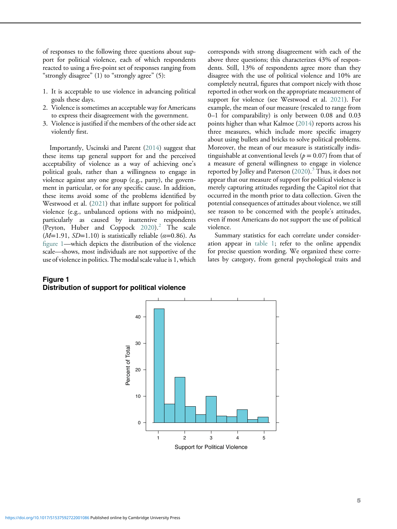of responses to the following three questions about support for political violence, each of which respondents reacted to using a five-point set of responses ranging from "strongly disagree" (1) to "strongly agree" (5):

- 1. It is acceptable to use violence in advancing political goals these days.
- 2. Violence is sometimes an acceptable way for Americans to express their disagreement with the government.
- 3. Violence is justified if the members of the other side act violently first.

Importantly, Uscinski and Parent [\(2014](#page-17-4)) suggest that these items tap general support for and the perceived acceptability of violence as a way of achieving one's political goals, rather than a willingness to engage in violence against any one group (e.g., party), the government in particular, or for any specific cause. In addition, these items avoid some of the problems identified by Westwood et al. ([2021\)](#page-17-7) that inflate support for political violence (e.g., unbalanced options with no midpoint), particularly as caused by inattentive respondents (Peyton, Huber and Coppock  $2020$ ).<sup>[2](#page-14-1)</sup> The scale  $(M=1.91, SD=1.10)$  is statistically reliable ( $\alpha$ =0.86). As fi[gure 1](#page-4-0)—which depicts the distribution of the violence scale—shows, most individuals are not supportive of the use of violence in politics. The modal scale value is 1, which

#### <span id="page-4-0"></span>Figure 1 Distribution of support for political violence

corresponds with strong disagreement with each of the above three questions; this characterizes 43% of respondents. Still, 13% of respondents agree more than they disagree with the use of political violence and 10% are completely neutral, figures that comport nicely with those reported in other work on the appropriate measurement of support for violence (see Westwood et al. [2021](#page-17-7)). For example, the mean of our measure (rescaled to range from 0–1 for comparability) is only between 0.08 and 0.03 points higher than what Kalmoe ([2014\)](#page-16-5) reports across his three measures, which include more specific imagery about using bullets and bricks to solve political problems. Moreover, the mean of our measure is statistically indistinguishable at conventional levels ( $p = 0.07$ ) from that of a measure of general willingness to engage in violence reported by Jolley and Paterson ([2020\)](#page-16-11).<sup>[3](#page-14-2)</sup> Thus, it does not appear that our measure of support for political violence is merely capturing attitudes regarding the Capitol riot that occurred in the month prior to data collection. Given the potential consequences of attitudes about violence, we still see reason to be concerned with the people's attitudes, even if most Americans do not support the use of political violence.

Summary statistics for each correlate under consideration appear in [table 1;](#page-5-0) refer to the online appendix for precise question wording. We organized these correlates by category, from general psychological traits and

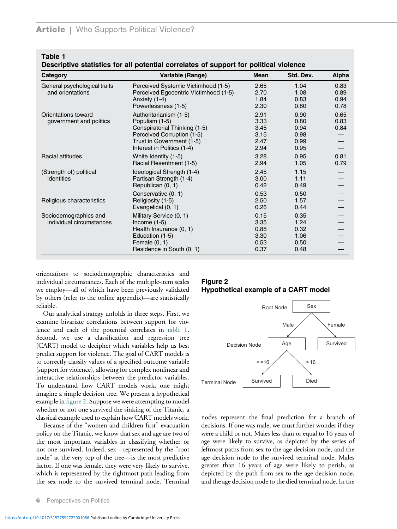<span id="page-5-0"></span>Table 1

Descriptive statistics for all potential correlates of support for political violence

| Category                                          | Variable (Range)                                                                                                                                                   | Mean                                         | Std. Dev.                                    | Alpha                        |
|---------------------------------------------------|--------------------------------------------------------------------------------------------------------------------------------------------------------------------|----------------------------------------------|----------------------------------------------|------------------------------|
| General psychological traits<br>and orientations  | Perceived Systemic Victimhood (1-5)<br>Perceived Egocentric Victimhood (1-5)<br>Anxiety (1-4)<br>Powerlessness (1-5)                                               | 2.65<br>2.70<br>1.84<br>2.30                 | 1.04<br>1.08<br>0.83<br>0.80                 | 0.83<br>0.89<br>0.94<br>0.78 |
| Orientations toward<br>government and politics    | Authoritarianism (1-5)<br>Populism (1-5)<br>Conspiratorial Thinking (1-5)<br>Perceived Corruption (1-5)<br>Trust in Government (1-5)<br>Interest in Politics (1-4) | 2.91<br>3.33<br>3.45<br>3.15<br>2.47<br>2.94 | 0.90<br>0.80<br>0.94<br>0.98<br>0.99<br>0.95 | 0.65<br>0.83<br>0.84         |
| Racial attitudes                                  | White Identity (1-5)<br>Racial Resentment (1-5)                                                                                                                    | 3.28<br>2.94                                 | 0.95<br>1.05                                 | 0.81<br>0.79                 |
| (Strength of) political<br>identities             | Ideological Strength (1-4)<br>Partisan Strength (1-4)<br>Republican (0, 1)                                                                                         | 2.45<br>3.00<br>0.42                         | 1.15<br>1.11<br>0.49                         |                              |
| Religious characteristics                         | Conservative (0, 1)<br>Religiosity (1-5)<br>Evangelical (0, 1)                                                                                                     | 0.53<br>2.50<br>0.26                         | 0.50<br>1.57<br>0.44                         |                              |
| Sociodemographics and<br>individual circumstances | Military Service (0, 1)<br>Income $(1-5)$<br>Health Insurance (0, 1)<br>Education (1-5)<br>Female $(0, 1)$<br>Residence in South (0, 1)                            | 0.15<br>3.35<br>0.88<br>3.30<br>0.53<br>0.37 | 0.35<br>1.24<br>0.32<br>1.06<br>0.50<br>0.48 |                              |

<span id="page-5-1"></span>orientations to sociodemographic characteristics and individual circumstances. Each of the multiple-item scales we employ—all of which have been previously validated by others (refer to the online appendix)—are statistically reliable.

Our analytical strategy unfolds in three steps. First, we examine bivariate correlations between support for violence and each of the potential correlates in [table 1.](#page-5-0) Second, we use a classification and regression tree (CART) model to decipher which variables help us best predict support for violence. The goal of CART models is to correctly classify values of a specified outcome variable (support for violence), allowing for complex nonlinear and interactive relationships between the predictor variables. To understand how CART models work, one might imagine a simple decision tree. We present a hypothetical example in fi[gure 2.](#page-5-1) Suppose we were attempting to model whether or not one survived the sinking of the Titanic, a classical example used to explain how CART models work.

Because of the "women and children first" evacuation policy on the Titanic, we know that sex and age are two of the most important variables in classifying whether or not one survived. Indeed, sex—represented by the "root node" at the very top of the tree—is the most predictive factor. If one was female, they were very likely to survive, which is represented by the rightmost path leading from the sex node to the survived terminal node. Terminal

# Figure 2 Hypothetical example of a CART model



nodes represent the final prediction for a branch of decisions. If one was male, we must further wonder if they were a child or not. Males less than or equal to 16 years of age were likely to survive, as depicted by the series of leftmost paths from sex to the age decision node, and the age decision node to the survived terminal node. Males greater than 16 years of age were likely to perish, as depicted by the path from sex to the age decision node, and the age decision node to the died terminal node. In the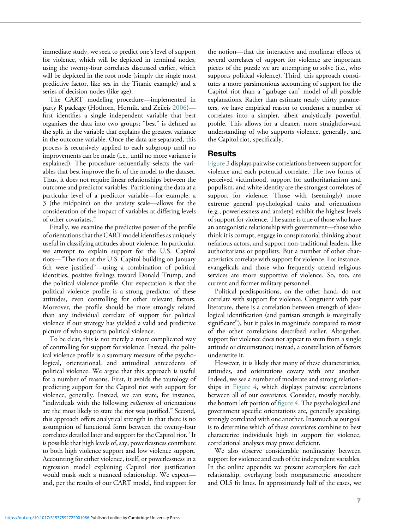immediate study, we seek to predict one's level of support for violence, which will be depicted in terminal nodes, using the twenty-four correlates discussed earlier, which will be depicted in the root node (simply the single most predictive factor, like sex in the Titanic example) and a series of decision nodes (like age).

The CART modeling procedure—implemented in party R package (Hothorn, Hornik, and Zeileis [2006](#page-16-21)) first identifies a single independent variable that best organizes the data into two groups; "best" is defined as the split in the variable that explains the greatest variance in the outcome variable. Once the data are separated, this process is recursively applied to each subgroup until no improvements can be made (i.e., until no more variance is explained). The procedure sequentially selects the variables that best improve the fit of the model to the dataset. Thus, it does not require linear relationships between the outcome and predictor variables. Partitioning the data at a particular level of a predictor variable—for example, a 3 (the midpoint) on the anxiety scale—allows for the consideration of the impact of variables at differing levels of other covariates.<sup>[4](#page-15-11)</sup>

Finally, we examine the predictive power of the profile of orientations that the CART model identifies as uniquely useful in classifying attitudes about violence. In particular, we attempt to explain support for the U.S. Capitol riots—"The riots at the U.S. Capitol building on January 6th were justified"—using a combination of political identities, positive feelings toward Donald Trump, and the political violence profile. Our expectation is that the political violence profile is a strong predictor of these attitudes, even controlling for other relevant factors. Moreover, the profile should be more strongly related than any individual correlate of support for political violence if our strategy has yielded a valid and predictive picture of who supports political violence.

To be clear, this is not merely a more complicated way of controlling for support for violence. Instead, the political violence profile is a summary measure of the psychological, orientational, and attitudinal antecedents of political violence. We argue that this approach is useful for a number of reasons. First, it avoids the tautology of predicting support for the Capitol riot with support for violence, generally. Instead, we can state, for instance, "individuals with the following collection of orientations are the most likely to state the riot was justified." Second, this approach offers analytical strength in that there is no assumption of functional form between the twenty-four correlates detailed later and support for the Capitol riot.<sup>[5](#page-15-12)</sup> It is possible that high levels of, say, powerlessness contribute to both high violence support and low violence support. Accounting for either violence, itself, or powerlessness in a regression model explaining Capitol riot justification would mask such a nuanced relationship. We expect and, per the results of our CART model, find support for

the notion—that the interactive and nonlinear effects of several correlates of support for violence are important pieces of the puzzle we are attempting to solve (i.e., who supports political violence). Third, this approach constitutes a more parsimonious accounting of support for the Capitol riot than a "garbage can" model of all possible explanations. Rather than estimate nearly thirty parameters, we have empirical reason to condense a number of correlates into a simpler, albeit analytically powerful, profile. This allows for a cleaner, more straightforward understanding of who supports violence, generally, and the Capitol riot, specifically.

## Results

[Figure 3](#page-7-0) displays pairwise correlations between support for violence and each potential correlate. The two forms of perceived victimhood, support for authoritarianism and populism, and white identity are the strongest correlates of support for violence. Those with (seemingly) more extreme general psychological traits and orientations (e.g., powerlessness and anxiety) exhibit the highest levels of support for violence. The same is true of those who have an antagonistic relationship with government—those who think it is corrupt, engage in conspiratorial thinking about nefarious actors, and support non-traditional leaders, like authoritarians or populists. But a number of other characteristics correlate with support for violence. For instance, evangelicals and those who frequently attend religious services are more supportive of violence. So, too, are current and former military personnel.

Political predispositions, on the other hand, do not correlate with support for violence. Congruent with past literature, there is a correlation between strength of ideological identification (and partisan strength is marginally significant<sup>[6](#page-15-13)</sup>), but it pales in magnitude compared to most of the other correlations described earlier. Altogether, support for violence does not appear to stem from a single attitude or circumstance; instead, a constellation of factors underwrite it.

However, it is likely that many of these characteristics, attitudes, and orientations covary with one another. Indeed, we see a number of moderate and strong relationships in [Figure 4](#page-8-0), which displays pairwise correlations between all of our covariates. Consider, mostly notably, the bottom left portion of fi[gure 4](#page-8-0). The psychological and government specific orientations are, generally speaking, strongly correlated with one another. Inasmuch as our goal is to determine which of these covariates combine to best characterize individuals high in support for violence, correlational analyses may prove deficient.

We also observe considerable nonlinearity between support for violence and each of the independent variables. In the online appendix we present scatterplots for each relationship, overlaying both nonparametric smoothers and OLS fit lines. In approximately half of the cases, we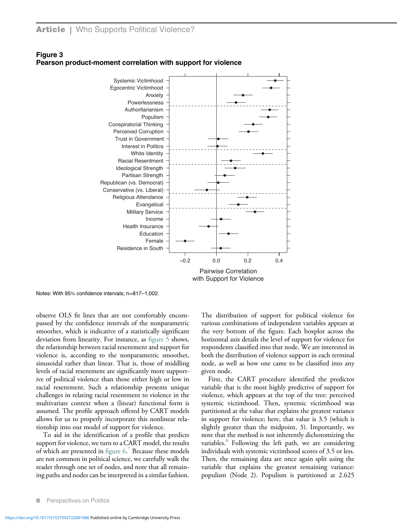

## <span id="page-7-0"></span>Figure 3 Pearson product-moment correlation with support for violence

Notes: With 95% confidence intervals; n=817–1,002.

observe OLS fit lines that are not comfortably encompassed by the confidence intervals of the nonparametric smoother, which is indicative of a statistically significant deviation from linearity. For instance, as fi[gure 5](#page-9-0) shows, the relationship between racial resentment and support for violence is, according to the nonparametric smoother, sinusoidal rather than linear. That is, those of middling levels of racial resentment are significantly more supportive of political violence than those either high or low in racial resentment. Such a relationship presents unique challenges in relating racial resentment to violence in the multivariate context when a (linear) functional form is assumed. The profile approach offered by CART models allows for us to properly incorporate this nonlinear relationship into our model of support for violence.

To aid in the identification of a profile that predicts support for violence, we turn to a CART model, the results of which are presented in figure  $6<sup>7</sup>$  $6<sup>7</sup>$  $6<sup>7</sup>$  Because these models are not common in political science, we carefully walk the reader through one set of nodes, and note that all remaining paths and nodes can be interpreted in a similar fashion.

The distribution of support for political violence for various combinations of independent variables appears at the very bottom of the figure. Each boxplot across the horizontal axis details the level of support for violence for respondents classified into that node. We are interested in both the distribution of violence support in each terminal node, as well as how one came to be classified into any given node.

First, the CART procedure identified the predictor variable that is the most highly predictive of support for violence, which appears at the top of the tree: perceived systemic victimhood. Then, systemic victimhood was partitioned at the value that explains the greatest variance in support for violence; here, that value is 3.5 (which is slightly greater than the midpoint, 3). Importantly, we note that the method is not inherently dichotomizing the variables.<sup>[8](#page-15-15)</sup> Following the left path, we are considering individuals with systemic victimhood scores of 3.5 or less. Then, the remaining data are once again split using the variable that explains the greatest remaining variance: populism (Node 2). Populism is partitioned at 2.625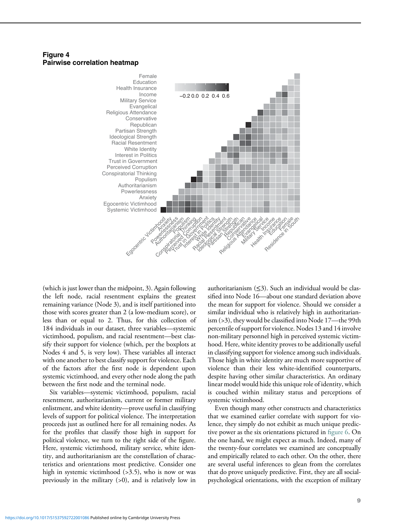#### <span id="page-8-0"></span>Figure 4 Pairwise correlation heatmap



(which is just lower than the midpoint, 3). Again following the left node, racial resentment explains the greatest remaining variance (Node 3), and is itself partitioned into those with scores greater than 2 (a low-medium score), or less than or equal to 2. Thus, for this collection of 184 individuals in our dataset, three variables—systemic victimhood, populism, and racial resentment—best classify their support for violence (which, per the boxplots at Nodes 4 and 5, is very low). These variables all interact with one another to best classify support for violence. Each of the factors after the first node is dependent upon systemic victimhood, and every other node along the path between the first node and the terminal node.

Six variables—systemic victimhood, populism, racial resentment, authoritarianism, current or former military enlistment, and white identity—prove useful in classifying levels of support for political violence. The interpretation proceeds just as outlined here for all remaining nodes. As for the profiles that classify those high in support for political violence, we turn to the right side of the figure. Here, systemic victimhood, military service, white identity, and authoritarianism are the constellation of characteristics and orientations most predictive. Consider one high in systemic victimhood (>3.5), who is now or was previously in the military  $(>0)$ , and is relatively low in

authoritarianism  $(\leq 3)$ . Such an individual would be classified into Node 16—about one standard deviation above the mean for support for violence. Should we consider a similar individual who is relatively high in authoritarianism (>3), they would be classified into Node 17—the 99th percentile of support for violence. Nodes 13 and 14 involve non-military personnel high in perceived systemic victimhood. Here, white identity proves to be additionally useful in classifying support for violence among such individuals. Those high in white identity are much more supportive of violence than their less white-identified counterparts, despite having other similar characteristics. An ordinary linear model would hide this unique role of identity, which is couched within military status and perceptions of systemic victimhood.

Even though many other constructs and characteristics that we examined earlier correlate with support for violence, they simply do not exhibit as much unique predictive power as the six orientations pictured in fi[gure 6](#page-10-0). On the one hand, we might expect as much. Indeed, many of the twenty-four correlates we examined are conceptually and empirically related to each other. On the other, there are several useful inferences to glean from the correlates that do prove uniquely predictive. First, they are all socialpsychological orientations, with the exception of military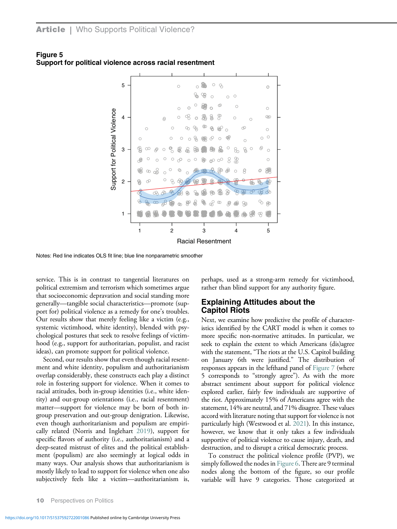

<span id="page-9-0"></span>Figure 5 Support for political violence across racial resentment

Notes: Red line indicates OLS fit line; blue line nonparametric smoother

service. This is in contrast to tangential literatures on political extremism and terrorism which sometimes argue that socioeconomic depravation and social standing more generally—tangible social characteristics—promote (support for) political violence as a remedy for one's troubles. Our results show that merely feeling like a victim (e.g., systemic victimhood, white identity), blended with psychological postures that seek to resolve feelings of victimhood (e.g., support for authoritarian, populist, and racist ideas), can promote support for political violence.

Second, our results show that even though racial resentment and white identity, populism and authoritarianism overlap considerably, these constructs each play a distinct role in fostering support for violence. When it comes to racial attitudes, both in-group identities (i.e., white identity) and out-group orientations (i.e., racial resentment) matter—support for violence may be born of both ingroup preservation and out-group denigration. Likewise, even though authoritarianism and populism are empirically related (Norris and Inglehart [2019](#page-17-8)), support for specific flavors of authority (i.e., authoritarianism) and a deep-seated mistrust of elites and the political establishment (populism) are also seemingly at logical odds in many ways. Our analysis shows that authoritarianism is mostly likely to lead to support for violence when one also subjectively feels like a victim—authoritarianism is,

perhaps, used as a strong-arm remedy for victimhood, rather than blind support for any authority figure.

#### Explaining Attitudes about the Capitol Riots

Next, we examine how predictive the profile of characteristics identified by the CART model is when it comes to more specific non-normative attitudes. In particular, we seek to explain the extent to which Americans (dis)agree with the statement, "The riots at the U.S. Capitol building on January 6th were justified." The distribution of responses appears in the lefthand panel of [Figure 7](#page-10-1) (where 5 corresponds to "strongly agree"). As with the more abstract sentiment about support for political violence explored earlier, fairly few individuals are supportive of the riot. Approximately 15% of Americans agree with the statement, 14% are neutral, and 71% disagree. These values accord with literature noting that support for violence is not particularly high (Westwood et al. [2021\)](#page-17-7). In this instance, however, we know that it only takes a few individuals supportive of political violence to cause injury, death, and destruction, and to disrupt a critical democratic process.

To construct the political violence profile (PVP), we simply followed the nodes in [Figure 6.](#page-10-0) There are 9 terminal nodes along the bottom of the figure, so our profile variable will have 9 categories. Those categorized at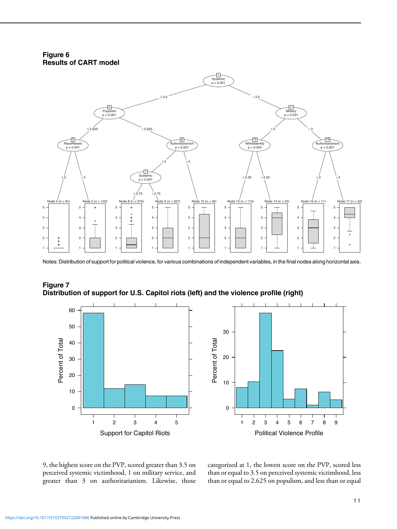Figure 6 Results of CART model

<span id="page-10-0"></span>

Notes: Distribution of support for political violence, for various combinations of independent variables, in the final nodes along horizontal axis.



<span id="page-10-1"></span>

Support for Capitol Riots 12345

> categorized at 1, the lowest score on the PVP, scored less than or equal to 3.5 on perceived systemic victimhood, less

Political Violence Profile

123456789

than or equal to 2.625 on populism, and less than or equal

9, the highest score on the PVP, scored greater than 3.5 on perceived systemic victimhood, 1 on military service, and greater than 3 on authoritarianism. Likewise, those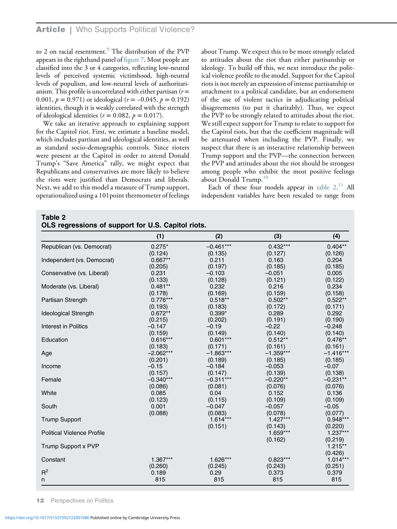to 2 on racial resentment.<sup>[9](#page-15-7)</sup> The distribution of the PVP appears in the righthand panel of fi[gure 7](#page-10-1). Most people are classified into the 3 or 4 categories, reflecting low-neutral levels of perceived systemic victimhood, high-neutral levels of populism, and low-neutral levels of authoritarianism. This profile is uncorrelated with either partisan ( $r =$ 0.001,  $p = 0.971$ ) or ideological ( $r = -0.045$ ,  $p = 0.192$ ) identities, though it is weakly correlated with the strength of ideological identities ( $r = 0.082$ ,  $p = 0.017$ ).

We take an iterative approach to explaining support for the Capitol riot. First, we estimate a baseline model, which includes partisan and ideological identities, as well as standard socio-demographic controls. Since rioters were present at the Capitol in order to attend Donald Trump's "Save America" rally, we might expect that Republicans and conservatives are more likely to believe the riots were justified than Democrats and liberals. Next, we add to this model a measure of Trump support, operationalized using a 101point thermometer of feelings

about Trump. We expect this to be more strongly related to attitudes about the riot than either partisanship or ideology. To build off this, we next introduce the political violence profile to the model. Support for the Capitol riots is not merely an expression of intense partisanship or attachment to a political candidate, but an endorsement of the use of violent tactics in adjudicating political disagreements (to put it charitably). Thus, we expect the PVP to be strongly related to attitudes about the riot. We still expect support for Trump to relate to support for the Capitol riots, but that the coefficient magnitude will be attenuated when including the PVP. Finally, we suspect that there is an interactive relationship between Trump support and the PVP—the connection between the PVP and attitudes about the riot should be strongest among people who exhibit the most positive feelings about Donald Trump.<sup>[10](#page-15-16)</sup>

Each of these four models appear in table  $2.^{11}$  $2.^{11}$  $2.^{11}$  All independent variables have been rescaled to range from

<span id="page-11-0"></span>Table 2

| OLS regressions of support for U.S. Capitol riots. |  |  |  |  |  |  |  |  |
|----------------------------------------------------|--|--|--|--|--|--|--|--|
|----------------------------------------------------|--|--|--|--|--|--|--|--|

|                                   | (1)         | (2)         | (3)         | (4)                   |
|-----------------------------------|-------------|-------------|-------------|-----------------------|
| Republican (vs. Democrat)         | $0.275*$    | $-0.461***$ | $0.432***$  | $0.404**$             |
|                                   | (0.124)     | (0.135)     | (0.127)     | (0.126)               |
| Independent (vs. Democrat)        | $0.667**$   | 0.211       | 0.163       | 0.204                 |
|                                   | (0.205)     | (0.197)     | (0.185)     | (0.185)               |
| Conservative (vs. Liberal)        | 0.231       | $-0.103$    | $-0.051$    | 0.005                 |
|                                   | (0.133)     | (0.128)     | (0.121)     | (0.122)               |
| Moderate (vs. Liberal)            | $0.481**$   | 0.232       | 0.216       | 0.234                 |
|                                   | (0.178)     | (0.169)     | (0.159)     | (0.158)               |
| Partisan Strength                 | $0.776***$  | $0.518**$   | $0.502**$   | $0.522**$             |
|                                   | (0.193)     | (0.183)     | (0.172)     | (0.171)               |
| <b>Ideological Strength</b>       | $0.672**$   | $0.399*$    | 0.289       | 0.292                 |
|                                   | (0.215)     | (0.202)     | (0.191)     | (0.190)               |
| Interest in Politics              | $-0.147$    | $-0.19$     | $-0.22$     | $-0.248$              |
|                                   | (0.159)     | (0.149)     | (0.140)     | (0.140)               |
| Education                         | $0.616***$  | $0.601***$  | $0.512**$   | $0.476**$             |
|                                   | (0.183)     | (0.171)     | (0.161)     | (0.161)               |
| Age                               | $-2.062***$ | $-1.863***$ | $-1.359***$ | $-1.416***$           |
|                                   | (0.201)     | (0.189)     | (0.185)     | (0.185)               |
| Income                            | $-0.15$     | $-0.184$    | $-0.053$    | $-0.07$               |
|                                   | (0.157)     | (0.147)     | (0.139)     | (0.138)               |
| Female                            | $-0.340***$ | $-0.311***$ | $-0.220**$  | $-0.231**$            |
|                                   | (0.086)     | (0.081)     | (0.076)     | (0.076)               |
| White                             | 0.085       | 0.04        | 0.152       | 0.136                 |
|                                   | (0.123)     | (0.115)     | (0.109)     | (0.109)               |
| South                             | 0.001       | $-0.047$    | $-0.057$    | $-0.05$               |
|                                   | (0.088)     | (0.083)     | (0.078)     | (0.077)               |
| <b>Trump Support</b>              |             | $1.614***$  | $1.427***$  | $0.948***$            |
|                                   |             | (0.151)     | (0.143)     | (0.220)               |
| <b>Political Violence Profile</b> |             |             | $1.659***$  | $1.237***$            |
|                                   |             |             | (0.162)     | (0.219)               |
| Trump Support x PVP               |             |             |             | $1.215**$             |
| Constant                          | $1.367***$  | 1.626***    | $0.823***$  | (0.426)<br>$1.014***$ |
|                                   | (0.260)     | (0.245)     | (0.243)     | (0.251)               |
| $R^2$                             | 0.189       | 0.29        | 0.373       | 0.379                 |
| n                                 | 815         | 815         | 815         | 815                   |
|                                   |             |             |             |                       |

12 Perspectives on Politics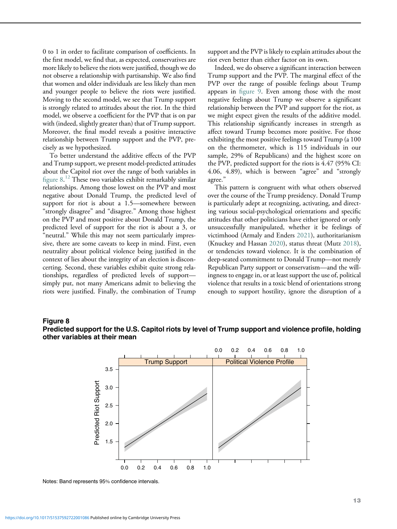0 to 1 in order to facilitate comparison of coefficients. In the first model, we find that, as expected, conservatives are more likely to believe the riots were justified, though we do not observe a relationship with partisanship. We also find that women and older individuals are less likely than men and younger people to believe the riots were justified. Moving to the second model, we see that Trump support is strongly related to attitudes about the riot. In the third model, we observe a coefficient for the PVP that is on par with (indeed, slightly greater than) that of Trump support. Moreover, the final model reveals a positive interactive relationship between Trump support and the PVP, precisely as we hypothesized.

To better understand the additive effects of the PVP and Trump support, we present model-predicted attitudes about the Capitol riot over the range of both variables in fi[gure 8.](#page-12-0) [12](#page-15-17) These two variables exhibit remarkably similar relationships. Among those lowest on the PVP and most negative about Donald Trump, the predicted level of support for riot is about a 1.5—somewhere between "strongly disagree" and "disagree." Among those highest on the PVP and most positive about Donald Trump, the predicted level of support for the riot is about a 3, or "neutral." While this may not seem particularly impressive, there are some caveats to keep in mind. First, even neutrality about political violence being justified in the context of lies about the integrity of an election is disconcerting. Second, these variables exhibit quite strong relationships, regardless of predicted levels of support simply put, not many Americans admit to believing the riots were justified. Finally, the combination of Trump

support and the PVP is likely to explain attitudes about the riot even better than either factor on its own.

Indeed, we do observe a significant interaction between Trump support and the PVP. The marginal effect of the PVP over the range of possible feelings about Trump appears in fi[gure 9.](#page-13-0) Even among those with the most negative feelings about Trump we observe a significant relationship between the PVP and support for the riot, as we might expect given the results of the additive model. This relationship significantly increases in strength as affect toward Trump becomes more positive. For those exhibiting the most positive feelings toward Trump (a 100 on the thermometer, which is 115 individuals in our sample, 29% of Republicans) and the highest score on the PVP, predicted support for the riots is 4.47 (95% CI: 4.06, 4.89), which is between "agree" and "strongly agree."

This pattern is congruent with what others observed over the course of the Trump presidency. Donald Trump is particularly adept at recognizing, activating, and directing various social-psychological orientations and specific attitudes that other politicians have either ignored or only unsuccessfully manipulated, whether it be feelings of victimhood (Armaly and Enders [2021\)](#page-15-8), authoritarianism (Knuckey and Hassan [2020\)](#page-16-22), status threat (Mutz [2018](#page-16-23)), or tendencies toward violence. It is the combination of deep-seated commitment to Donald Trump—not merely Republican Party support or conservatism—and the willingness to engage in, or at least support the use of, political violence that results in a toxic blend of orientations strong enough to support hostility, ignore the disruption of a

#### <span id="page-12-0"></span>Figure 8





Notes: Band represents 95% confidence intervals.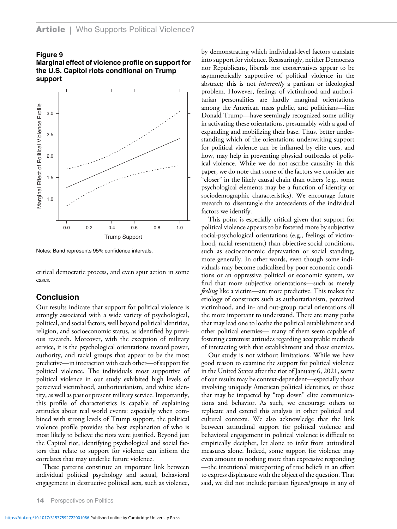#### <span id="page-13-0"></span>Figure 9

Marginal effect of violence profile on support for the U.S. Capitol riots conditional on Trump support



Notes: Band represents 95% confidence intervals.

critical democratic process, and even spur action in some cases.

## Conclusion

Our results indicate that support for political violence is strongly associated with a wide variety of psychological, political, and social factors, well beyond political identities, religion, and socioeconomic status, as identified by previous research. Moreover, with the exception of military service, it is the psychological orientations toward power, authority, and racial groups that appear to be the most predictive—in interaction with each other—of support for political violence. The individuals most supportive of political violence in our study exhibited high levels of perceived victimhood, authoritarianism, and white identity, as well as past or present military service. Importantly, this profile of characteristics is capable of explaining attitudes about real world events: especially when combined with strong levels of Trump support, the political violence profile provides the best explanation of who is most likely to believe the riots were justified. Beyond just the Capitol riot, identifying psychological and social factors that relate to support for violence can inform the correlates that may underlie future violence.

These patterns constitute an important link between individual political psychology and actual, behavioral engagement in destructive political acts, such as violence,

by demonstrating which individual-level factors translate into support for violence. Reassuringly, neither Democrats nor Republicans, liberals nor conservatives appear to be asymmetrically supportive of political violence in the abstract; this is not *inherently* a partisan or ideological problem. However, feelings of victimhood and authoritarian personalities are hardly marginal orientations among the American mass public, and politicians—like Donald Trump—have seemingly recognized some utility in activating these orientations, presumably with a goal of expanding and mobilizing their base. Thus, better understanding which of the orientations underwriting support for political violence can be inflamed by elite cues, and how, may help in preventing physical outbreaks of political violence. While we do not ascribe causality in this paper, we do note that some of the factors we consider are "closer" in the likely causal chain than others (e.g., some psychological elements may be a function of identity or sociodemographic characteristics). We encourage future research to disentangle the antecedents of the individual factors we identify.

This point is especially critical given that support for political violence appears to be fostered more by subjective social-psychological orientations (e.g., feelings of victimhood, racial resentment) than objective social conditions, such as socioeconomic depravation or social standing, more generally. In other words, even though some individuals may become radicalized by poor economic conditions or an oppressive political or economic system, we find that more subjective orientations—such as merely feeling like a victim—are more predictive. This makes the etiology of constructs such as authortarianism, perceived victimhood, and in- and out-group racial orientations all the more important to understand. There are many paths that may lead one to loathe the political establishment and other political enemies— many of them seem capable of fostering extremist attitudes regarding acceptable methods of interacting with that establishment and those enemies.

Our study is not without limitations. While we have good reason to examine the support for political violence in the United States after the riot of January 6, 2021, some of our results may be context-dependent—especially those involving uniquely American political identities, or those that may be impacted by "top down" elite communications and behavior. As such, we encourage others to replicate and extend this analysis in other political and cultural contexts. We also acknowledge that the link between attitudinal support for political violence and behavioral engagement in political violence is difficult to empirically decipher, let alone to infer from attitudinal measures alone. Indeed, some support for violence may even amount to nothing more than expressive responding —the intentional misreporting of true beliefs in an effort to express displeasure with the object of the question. That said, we did not include partisan figures/groups in any of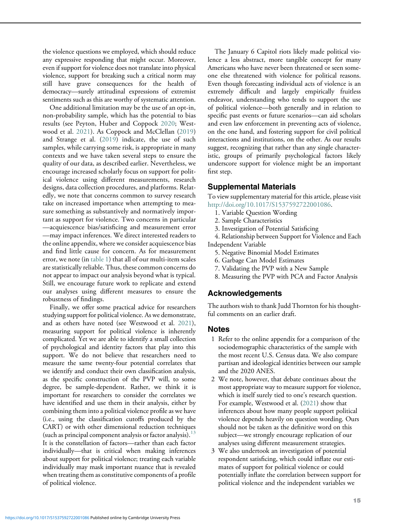the violence questions we employed, which should reduce any expressive responding that might occur. Moreover, even if support for violence does not translate into physical violence, support for breaking such a critical norm may still have grave consequences for the health of democracy—surely attitudinal expressions of extremist sentiments such as this are worthy of systematic attention.

One additional limitation may be the use of an opt-in, non-probability sample, which has the potential to bias results (see Peyton, Huber and Coppock [2020;](#page-17-9) Westwood et al. [2021](#page-17-7)). As Coppock and McClellan [\(2019\)](#page-15-9) and Strange et al. [\(2019\)](#page-17-2) indicate, the use of such samples, while carrying some risk, is appropriate in many contexts and we have taken several steps to ensure the quality of our data, as described earlier. Nevertheless, we encourage increased scholarly focus on support for political violence using different measurements, research designs, data collection procedures, and platforms. Relatedly, we note that concerns common to survey research take on increased importance when attempting to measure something as substantively and normatively important as support for violence. Two concerns in particular —acquiescence bias/satisficing and measurement error —may impact inferences. We direct interested readers to the online appendix, where we consider acquiescence bias and find little cause for concern. As for measurement error, we note (in [table 1\)](#page-5-0) that all of our multi-item scales are statistically reliable. Thus, these common concerns do not appear to impact our analysis beyond what is typical. Still, we encourage future work to replicate and extend our analyses using different measures to ensure the robustness of findings.

<span id="page-14-2"></span><span id="page-14-1"></span><span id="page-14-0"></span>Finally, we offer some practical advice for researchers studying support for political violence. As we demonstrate, and as others have noted (see Westwood et al. [2021](#page-17-7)), measuring support for political violence is inherently complicated. Yet we are able to identify a small collection of psychological and identity factors that play into this support. We do not believe that researchers need to measure the same twenty-four potential correlates that we identify and conduct their own classification analysis, as the specific construction of the PVP will, to some degree, be sample-dependent. Rather, we think it is important for researchers to consider the correlates we have identified and use them in their analysis, either by combining them into a political violence profile as we have (i.e., using the classification cutoffs produced by the CART) or with other dimensional reduction techniques (such as principal component analysis or factor analysis). $13$ It is the constellation of factors—rather than each factor individually—that is critical when making inferences about support for political violence; treating each variable individually may mask important nuance that is revealed when treating them as constitutive components of a profile of political violence.

The January 6 Capitol riots likely made political violence a less abstract, more tangible concept for many Americans who have never been threatened or seen someone else threatened with violence for political reasons. Even though forecasting individual acts of violence is an extremely difficult and largely empirically fruitless endeavor, understanding who tends to support the use of political violence—both generally and in relation to specific past events or future scenarios—can aid scholars and even law enforcement in preventing acts of violence, on the one hand, and fostering support for civil political interactions and institutions, on the other. As our results suggest, recognizing that rather than any single characteristic, groups of primarily psychological factors likely underscore support for violence might be an important first step.

## Supplemental Materials

To view supplementary material for this article, please visit [http://doi.org/10.1017/S1537592722001086.](http://doi.org/10.1017/S1537592722001086)

- 1. Variable Question Wording
- 2. Sample Characteristics
- 3. Investigation of Potential Satisficing

4. Relationship between Support for Violence and Each Independent Variable

- 5. Negative Binomial Model Estimates
- 6. Garbage Can Model Estimates
- 7. Validating the PVP with a New Sample
- 8. Measuring the PVP with PCA and Factor Analysis

# Acknowledgements

The authors wish to thank Judd Thornton for his thoughtful comments on an earlier draft.

## Notes

- 1 Refer to the online appendix for a comparison of the sociodemographic characteristics of the sample with the most recent U.S. Census data. We also compare partisan and ideological identities between our sample and the 2020 ANES.
- 2 We note, however, that debate continues about the most appropriate way to measure support for violence, which is itself surely tied to one's research question. For example, Westwood et al. ([2021\)](#page-17-7) show that inferences about how many people support political violence depends heavily on question wording. Ours should not be taken as the definitive word on this subject—we strongly encourage replication of our analyses using different measurement strategies.
- 3 We also undertook an investigation of potential respondent satisficing, which could inflate our estimates of support for political violence or could potentially inflate the correlation between support for political violence and the independent variables we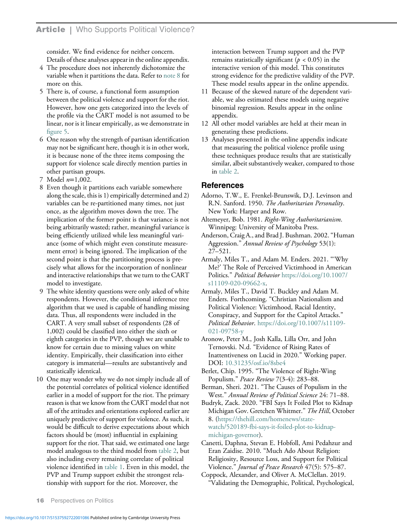consider. We find evidence for neither concern. Details of these analyses appear in the online appendix.

- <span id="page-15-11"></span>4 The procedure does not inherently dichotomize the variable when it partitions the data. Refer to [note 8](#page-15-15) for more on this.
- <span id="page-15-12"></span>5 There is, of course, a functional form assumption between the political violence and support for the riot. However, how one gets categorized into the levels of the profile via the CART model is not assumed to be linear, nor is it linear empirically, as we demonstrate in fi[gure 5.](#page-9-0)
- <span id="page-15-17"></span><span id="page-15-13"></span>6 One reason why the strength of partisan identification may not be significant here, though it is in other work, it is because none of the three items composing the support for violence scale directly mention parties in other partisan groups.
- <span id="page-15-14"></span>7 Model n=1,002.
- <span id="page-15-15"></span><span id="page-15-4"></span><span id="page-15-3"></span><span id="page-15-2"></span>8 Even though it partitions each variable somewhere along the scale, this is 1) empirically determined and 2) variables can be re-partitioned many times, not just once, as the algorithm moves down the tree. The implication of the former point is that variance is not being arbitrarily wasted; rather, meaningful variance is being efficiently utilized while less meaningful variance (some of which might even constitute measurement error) is being ignored. The implication of the second point is that the partitioning process is precisely what allows for the incorporation of nonlinear and interactive relationships that we turn to the CART model to investigate.
- <span id="page-15-8"></span><span id="page-15-7"></span>9 The white identity questions were only asked of white respondents. However, the conditional inference tree algorithm that we used is capable of handling missing data. Thus, all respondents were included in the CART. A very small subset of respondents (28 of 1,002) could be classified into either the sixth or eighth categories in the PVP, though we are unable to know for certain due to missing values on white identity. Empirically, their classification into either category is immaterial—results are substantively and statistically identical.
- <span id="page-15-16"></span><span id="page-15-10"></span><span id="page-15-9"></span><span id="page-15-6"></span><span id="page-15-5"></span><span id="page-15-1"></span><span id="page-15-0"></span>10 One may wonder why we do not simply include all of the potential correlates of political violence identified earlier in a model of support for the riot. The primary reason is that we know from the CART model that not all of the attitudes and orientations explored earlier are uniquely predictive of support for violence. As such, it would be difficult to derive expectations about which factors should be (most) influential in explaining support for the riot. That said, we estimated one large model analogous to the third model from [table 2](#page-11-0), but also including every remaining correlate of political violence identified in [table 1.](#page-5-0) Even in this model, the PVP and Trump support exhibit the strongest relationship with support for the riot. Moreover, the

interaction between Trump support and the PVP remains statistically significant ( $p < 0.05$ ) in the interactive version of this model. This constitutes strong evidence for the predictive validity of the PVP. These model results appear in the online appendix.

- 11 Because of the skewed nature of the dependent variable, we also estimated these models using negative binomial regression. Results appear in the online appendix.
- 12 All other model variables are held at their mean in generating these predictions.
- 13 Analyses presented in the online appendix indicate that measuring the political violence profile using these techniques produce results that are statistically similar, albeit substantively weaker, compared to those in [table 2.](#page-11-0)

## References

Adorno, T.W., E. Frenkel-Brunswik, D.J. Levinson and R.N. Sanford. 1950. The Authoritarian Personality. New York: Harper and Row.

- Altemeyer, Bob. 1981. Right-Wing Authoritarianism. Winnipeg: University of Manitoba Press.
- Anderson, Craig A., and Brad J. Bushman. 2002."Human Aggression." Annual Review of Psychology 53(1): 27–521.
- Armaly, Miles T., and Adam M. Enders. 2021. "'Why Me?' The Role of Perceived Victimhood in American Politics." Political Behavior [https://doi.org/10.1007/](https://doi.org/10.1007/s11109-020-09662-x) [s11109-020-09662-x](https://doi.org/10.1007/s11109-020-09662-x).
- Armaly, Miles T., David T. Buckley and Adam M. Enders. Forthcoming. "Christian Nationalism and Political Violence: Victimhood, Racial Identity, Conspiracy, and Support for the Capitol Attacks." Political Behavior. [https://doi.org/10.1007/s11109-](https://doi.org/10.1007/s11109-021-09758-y) [021-09758-y](https://doi.org/10.1007/s11109-021-09758-y)
- Aronow, Peter M., Josh Kalla, Lilla Orr, and John Ternovski. N.d. "Evidence of Rising Rates of Inattentiveness on Lucid in 2020." Working paper. DOI: [10.31235/osf.io/8sbe4](https://doi.org/10.31235/osf.io/8sbe4)
- Berlet, Chip. 1995. "The Violence of Right-Wing Populism." Peace Review 7(3-4): 283–88.
- Berman, Sheri. 2021. "The Causes of Populism in the West." Annual Review of Political Science 24: 71–88.
- Budryk, Zack. 2020. "FBI Says It Foiled Plot to Kidnap Michigan Gov. Gretchen Whitmer." The Hill, October 8. [\(https://thehill.com/homenews/state](https://thehill.com/homenews/state-watch/520189-fbi-says-it-foiled-plot-to-kidnap-michigan-governor)[watch/520189-fbi-says-it-foiled-plot-to-kidnap](https://thehill.com/homenews/state-watch/520189-fbi-says-it-foiled-plot-to-kidnap-michigan-governor)[michigan-governor](https://thehill.com/homenews/state-watch/520189-fbi-says-it-foiled-plot-to-kidnap-michigan-governor)).
- Canetti, Daphna, Stevan E. Hobfoll, Ami Pedahzur and Eran Zaidise. 2010. "Much Ado About Religion: Religiosity, Resource Loss, and Support for Political Violence." Journal of Peace Research 47(5): 575–87.
- Coppock, Alexander, and Oliver A. McClellan. 2019. "Validating the Demographic, Political, Psychological,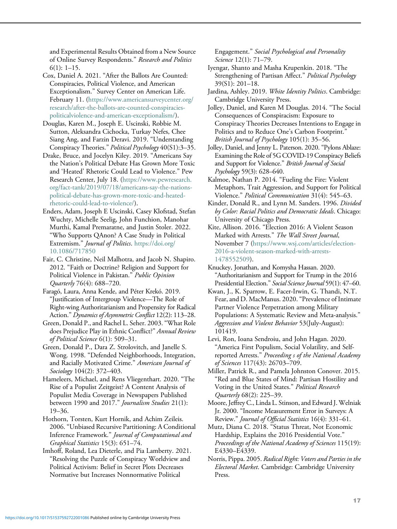and Experimental Results Obtained from a New Source of Online Survey Respondents." Research and Politics  $6(1): 1-15.$ 

<span id="page-16-16"></span><span id="page-16-1"></span><span id="page-16-0"></span>Cox, Daniel A. 2021. "After the Ballots Are Counted: Conspiracies, Political Violence, and American Exceptionalism." Survey Center on American Life. February 11. ([https://www.americansurveycenter.org/](https://www.americansurveycenter.org/research/after-the-ballots-are-counted-conspiracies-politicalviolence-and-american-exceptionalism/) [research/after-the-ballots-are-counted-conspiracies](https://www.americansurveycenter.org/research/after-the-ballots-are-counted-conspiracies-politicalviolence-and-american-exceptionalism/)[politicalviolence-and-american-exceptionalism/\)](https://www.americansurveycenter.org/research/after-the-ballots-are-counted-conspiracies-politicalviolence-and-american-exceptionalism/).

<span id="page-16-15"></span><span id="page-16-13"></span>Douglas, Karen M., Joseph E. Uscinski, Robbie M. Sutton, Aleksandra Cichocka, Turkay Nefes, Chee Siang Ang, and Farzin Deravi. 2019. "Understanding Conspiracy Theories." Political Psychology 40(S1):3–35.

<span id="page-16-11"></span><span id="page-16-5"></span><span id="page-16-2"></span>Drake, Bruce, and Jocelyn Kiley. 2019. "Americans Say the Nation's Political Debate Has Grown More Toxic and 'Heated' Rhetoric Could Lead to Violence." Pew Research Center, July 18. [\(https://www.pewresearch.](https://www.pewresearch.org/fact-tank/2019/07/18/americans-say-the-nations-political-debate-has-grown-more-toxic-and-heated-rhetoric-could-lead-to-violence/) [org/fact-tank/2019/07/18/americans-say-the-nations](https://www.pewresearch.org/fact-tank/2019/07/18/americans-say-the-nations-political-debate-has-grown-more-toxic-and-heated-rhetoric-could-lead-to-violence/)[political-debate-has-grown-more-toxic-and-heated](https://www.pewresearch.org/fact-tank/2019/07/18/americans-say-the-nations-political-debate-has-grown-more-toxic-and-heated-rhetoric-could-lead-to-violence/)[rhetoric-could-lead-to-violence/\)](https://www.pewresearch.org/fact-tank/2019/07/18/americans-say-the-nations-political-debate-has-grown-more-toxic-and-heated-rhetoric-could-lead-to-violence/).

<span id="page-16-17"></span><span id="page-16-12"></span><span id="page-16-3"></span>Enders, Adam, Joseph E Uscinski, Casey Klofstad, Stefan Wuchty, Michelle Seelig, John Funchion, Manohar Murthi, Kamal Premaratne, and Justin Stoler. 2022. "Who Supports QAnon? A Case Study in Political Extremism." Journal of Politics. [https://doi.org/](https://doi.org/10.1086/717850) [10.1086/717850](https://doi.org/10.1086/717850)

<span id="page-16-22"></span><span id="page-16-4"></span>Fair, C. Christine, Neil Malhotra, and Jacob N. Shapiro. 2012. "Faith or Doctrine? Religion and Support for Political Violence in Pakistan." Public Opinion Quarterly 76(4): 688–720.

<span id="page-16-7"></span>Faragó, Laura, Anna Kende, and Péter Krekó. 2019. "Justification of Intergroup Violence—The Role of Right-wing Authoritarianism and Propensity for Radical Action." Dynamics of Asymmetric Conflict 12(2): 113–28.

<span id="page-16-18"></span>Green, Donald P., and Rachel L. Seher. 2003."What Role does Prejudice Play in Ethnic Conflict?" Annual Review of Political Science 6(1): 509–31.

<span id="page-16-19"></span><span id="page-16-9"></span>Green, Donald P., Dara Z. Strolovitch, and Janelle S. Wong. 1998. "Defended Neighborhoods, Integration, and Racially Motivated Crime." American Journal of Sociology 104(2): 372-403.

<span id="page-16-14"></span><span id="page-16-6"></span>Hameleers, Michael, and Rens Vliegenthart. 2020. "The Rise of a Populist Zeitgeist? A Content Analysis of Populist Media Coverage in Newspapers Published between 1990 and 2017." Journalism Studies 21(1): 19–36.

<span id="page-16-23"></span><span id="page-16-21"></span><span id="page-16-20"></span>Hothorn, Torsten, Kurt Hornik, and Achim Zeileis. 2006."Unbiased Recursive Partitioning: A Conditional Inference Framework." Journal of Computational and Graphical Statistics 15(3): 651–74.

<span id="page-16-10"></span><span id="page-16-8"></span>Imhoff, Roland, Lea Dieterle, and Pia Lamberty. 2021. "Resolving the Puzzle of Conspiracy Worldview and Political Activism: Belief in Secret Plots Decreases Normative but Increases Nonnormative Political

Engagement." Social Psychological and Personality Science 12(1): 71–79.

Iyengar, Shanto and Masha Krupenkin. 2018. "The Strengthening of Partisan Affect." Political Psychology 39(S1): 201–18.

Jardina, Ashley. 2019. White Identity Politics. Cambridge: Cambridge University Press.

Jolley, Daniel, and Karen M Douglas. 2014. "The Social Consequences of Conspiracism: Exposure to Conspiracy Theories Decreases Intentions to Engage in Politics and to Reduce One's Carbon Footprint." British Journal of Psychology 105(1): 35–56.

Jolley, Daniel, and Jenny L. Paterson. 2020. "Pylons Ablaze: Examining the Role of 5G COVID-19 Conspiracy Beliefs and Support for Violence." British Journal of Social Psychology 59(3): 628–640.

Kalmoe, Nathan P. 2014. "Fueling the Fire: Violent Metaphors, Trait Aggression, and Support for Political Violence." Political Communication 31(4): 545–63.

Kinder, Donald R., and Lynn M. Sanders. 1996. Divided by Color: Racial Politics and Democratic Ideals. Chicago: University of Chicago Press.

Kite, Allison. 2016. "Election 2016: A Violent Season Marked with Arrests." The Wall Street Journal, November 7 [\(https://www.wsj.com/articles/election-](https://www.wsj.com/articles/election-2016-a-violent-season-marked-with-arrests-1478552509)[2016-a-violent-season-marked-with-arrests-](https://www.wsj.com/articles/election-2016-a-violent-season-marked-with-arrests-1478552509)[1478552509\)](https://www.wsj.com/articles/election-2016-a-violent-season-marked-with-arrests-1478552509).

Knuckey, Jonathan, and Komysha Hassan. 2020. "Authoritarianism and Support for Trump in the 2016 Presidential Election." Social Science Journal 59(1): 47–60.

Kwan, J., K. Sparrow, E. Facer-Irwin, G. Thandi, N.T. Fear, and D. MacManus. 2020."Prevalence of Intimate Partner Violence Perpetration among Military Populations: A Systematic Review and Meta-analysis." Aggression and Violent Behavior 53(July-August): 101419.

Levi, Ron, Ioana Sendroiu, and John Hagan. 2020. "America First Populism, Social Volatility, and Selfreported Arrests." Proceeding s of the National Academy of Sciences 117(43): 26703–709.

Miller, Patrick R., and Pamela Johnston Conover. 2015. "Red and Blue States of Mind: Partisan Hostility and Voting in the United States." Political Research Quarterly 68(2): 225–39.

Moore, Jeffrey C., Linda L. Stinson, and Edward J.Welniak Jr. 2000. "Income Measurement Error in Surveys: A Review." Journal of Official Statistics 16(4): 331–61.

Mutz, Diana C. 2018. "Status Threat, Not Economic Hardship, Explains the 2016 Presidential Vote." Proceedings of the National Academy of Sciences 115(19): E4330–E4339.

Norris, Pippa. 2005. Radical Right: Voters and Parties in the Electoral Market. Cambridge: Cambridge University Press.